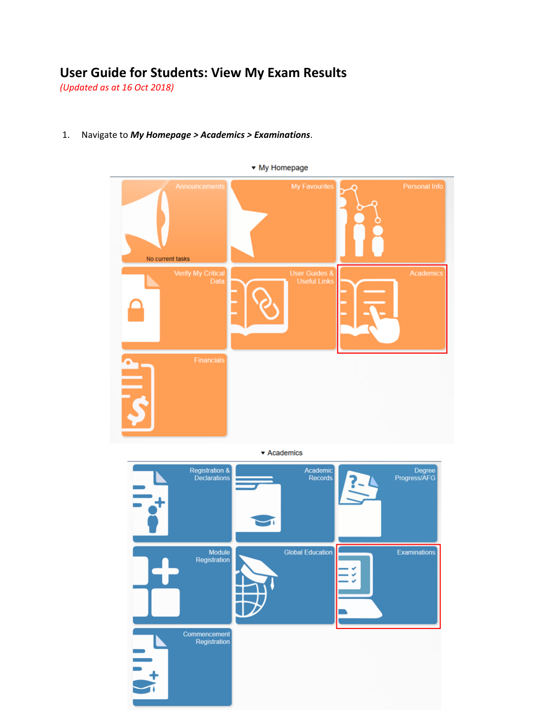## **User Guide for Students: View My Exam Results**

*(Updated as at 16 Oct 2018)*



1. Navigate to *My Homepage > Academics > Examinations*.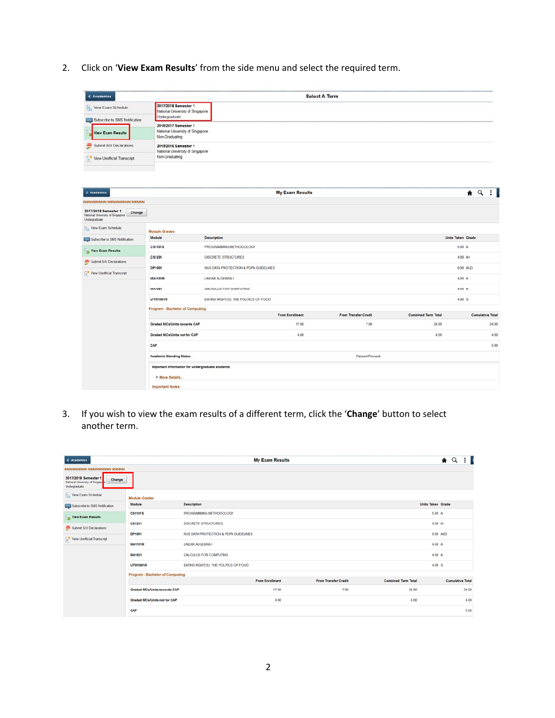2. Click on '**View Exam Results**' from the side menu and select the required term.

| <b>4</b> Academics                                                                  |                                                                            |                                       |                        | <b>Select A Term</b> |                            |                          |       |
|-------------------------------------------------------------------------------------|----------------------------------------------------------------------------|---------------------------------------|------------------------|----------------------|----------------------------|--------------------------|-------|
| View Exam Schedule                                                                  | 2017/2018 Semester 1<br>National University of Singapore                   |                                       |                        |                      |                            |                          |       |
| Subscribe to SMS Notification                                                       | Undergraduate                                                              |                                       |                        |                      |                            |                          |       |
| <b>View Exam Results</b>                                                            | 2016/2017 Semester 1<br>National University of Singapore<br>Non-Graduating |                                       |                        |                      |                            |                          |       |
| Submit S/U Declarations                                                             | 2015/2016 Semester 1<br>National University of Singapore                   |                                       |                        |                      |                            |                          |       |
| View Unofficial Transcript                                                          | Non-Graduating                                                             |                                       |                        |                      |                            |                          |       |
|                                                                                     |                                                                            |                                       |                        |                      |                            |                          |       |
| < Academics                                                                         |                                                                            |                                       | <b>My Exam Results</b> |                      |                            | <b>A</b> Q :             |       |
| NNNNNNNNN NNNNNNNNNN NNNNN                                                          |                                                                            |                                       |                        |                      |                            |                          |       |
| 2017/2018 Semester 1<br>Change<br>National University of Singapore<br>Undergraduate |                                                                            |                                       |                        |                      |                            |                          |       |
| View Exam Schedule                                                                  | <b>Module Grades</b>                                                       |                                       |                        |                      |                            |                          |       |
| Subscribe to SMS Notification                                                       | Module                                                                     | <b>Description</b>                    |                        |                      |                            | <b>Units Taken Grade</b> |       |
| View Exam Results                                                                   | <b>CS1101S</b>                                                             | PROGRAMMING METHODOLOGY               |                        |                      |                            | 5.00 A                   |       |
| Submit S/U Declarations                                                             | CS1231                                                                     | <b>DISCRETE STRUCTURES</b>            |                        |                      |                            | $4.00 A+$                |       |
| View Unofficial Transcript                                                          | DP1001                                                                     | NUS DATA PROTECTION & PDPA GUIDELINES |                        |                      |                            | 0.00 AUD                 |       |
|                                                                                     | <b>MA1101R</b>                                                             | <b>LINEAR ALGEBRA I</b>               |                        |                      |                            | 4.00A                    |       |
|                                                                                     | MA1521                                                                     | CALCULUS FOR COMPUTING                |                        |                      |                            | 4.00A                    |       |
|                                                                                     | UTW1001H                                                                   | EATING RIGHT(S): THE POLITICS OF FOOD |                        |                      |                            | 4.00 S                   |       |
|                                                                                     | Program - Bachelor of Computing                                            |                                       |                        |                      |                            |                          |       |
|                                                                                     |                                                                            |                                       | <b>From Enrollment</b> | From Transfer Credit | <b>Combined Term Total</b> | <b>Cumulative Total</b>  |       |
|                                                                                     | <b>Graded MCs/Units towards CAP</b>                                        |                                       | 17.00                  | 7.00                 | 24.00                      |                          | 24.00 |
|                                                                                     | Graded MCs/Units not for CAP                                               |                                       | 4.00                   |                      | 4.00                       |                          | 4.00  |
|                                                                                     | CAP                                                                        |                                       |                        |                      |                            |                          | 5.00  |
|                                                                                     | <b>Academic Standing Status</b>                                            |                                       |                        | Passed/Proceed       |                            |                          |       |
|                                                                                     | Important Information for undergraduate students:                          |                                       |                        |                      |                            |                          |       |
|                                                                                     | More Details                                                               |                                       |                        |                      |                            |                          |       |
|                                                                                     | <b>Important Notes:</b>                                                    |                                       |                        |                      |                            |                          |       |

3. If you wish to view the exam results of a different term, click the '**Change**' button to select another term.

| < Academics                                                                         |                                     |                                       | <b>My Exam Results</b> |                             |                            | ♠                        | Q |                         |
|-------------------------------------------------------------------------------------|-------------------------------------|---------------------------------------|------------------------|-----------------------------|----------------------------|--------------------------|---|-------------------------|
| NNNNNNNNN NNNNNNNNN NNNNN                                                           |                                     |                                       |                        |                             |                            |                          |   |                         |
| 2017/2018 Semester 1<br>Change<br>National University of Singapone<br>Undergraduate |                                     |                                       |                        |                             |                            |                          |   |                         |
| View Exam Schedule                                                                  | <b>Module Grades</b>                |                                       |                        |                             |                            |                          |   |                         |
| Subscribe to SMS Notification                                                       | Module                              | <b>Description</b>                    |                        |                             |                            | <b>Units Taken Grade</b> |   |                         |
| <b>To View Exam Results</b>                                                         | <b>CS1101S</b>                      | PROGRAMMING METHODOLOGY               |                        |                             |                            | 5.00A                    |   |                         |
| Submit S/U Declarations                                                             | CS1231                              | <b>DISCRETE STRUCTURES</b>            |                        |                             |                            | $4.00 A+$                |   |                         |
|                                                                                     | <b>DP1001</b>                       | NUS DATA PROTECTION & PDPA GUIDELINES |                        |                             |                            | 0.00 AUD                 |   |                         |
| View Unofficial Transcript                                                          | <b>MA1101R</b>                      | <b>LINEAR ALGEBRA1</b>                |                        |                             |                            | 4.00A                    |   |                         |
|                                                                                     | <b>MA1521</b>                       | <b>CALCULUS FOR COMPUTING</b>         |                        |                             |                            | 4.00A                    |   |                         |
|                                                                                     | UTW1001H                            | EATING RIGHT(S): THE POLITICS OF FOOD |                        |                             |                            | 4.00 S                   |   |                         |
|                                                                                     | Program - Bachelor of Computing     |                                       |                        |                             |                            |                          |   |                         |
|                                                                                     |                                     |                                       | <b>From Enrollment</b> | <b>From Transfer Credit</b> | <b>Combined Term Total</b> |                          |   | <b>Cumulative Total</b> |
|                                                                                     | <b>Graded MCs/Units towards CAP</b> |                                       | 17.00                  | 7.00                        | 24.00                      |                          |   | 24.00                   |
|                                                                                     | <b>Graded MCs/Units not for CAP</b> |                                       | 4.00                   |                             | 4.00                       |                          |   | 4.00                    |
|                                                                                     | CAP                                 |                                       |                        |                             |                            |                          |   | 5.00                    |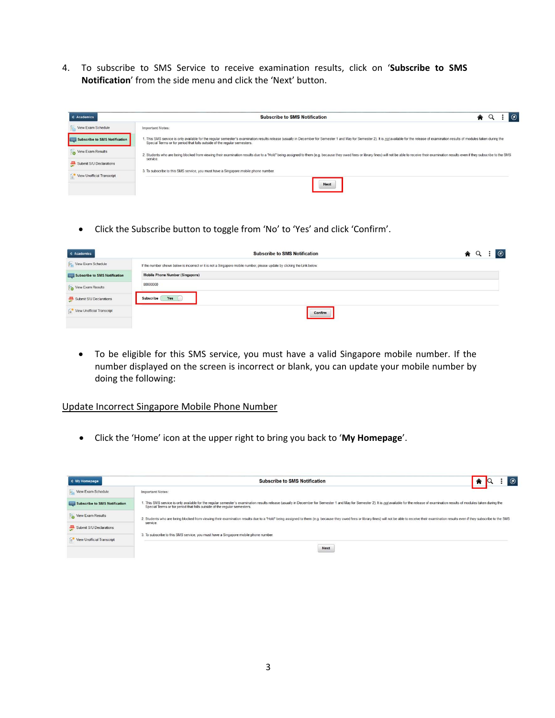4. To subscribe to SMS Service to receive examination results, click on '**Subscribe to SMS Notification**' from the side menu and click the 'Next' button.

| < Academics                   | $\odot$<br><b>Subscribe to SMS Notification</b>                                                                                                                                                                                                                                                            |
|-------------------------------|------------------------------------------------------------------------------------------------------------------------------------------------------------------------------------------------------------------------------------------------------------------------------------------------------------|
| View Exam Schedule            | Important Notes:                                                                                                                                                                                                                                                                                           |
| Subscribe to SMS Notification | 1. This SMS service is only available for the regular semester's examination results release (usually in December for Semester 1 and May for Semester 2). It is not available for the release of examination results of module<br>Special Terms or for period that falls outside of the regular semesters. |
| View Exam Results             | 2. Students who are being blocked from viewing their examination results due to a "Hold" being assigned to them (e.g. because they owed fees or library fines) will not be able to receive their examination results even if t                                                                             |
| Submit S/U Declarations       | service                                                                                                                                                                                                                                                                                                    |
| View Unofficial Transcript    | 3. To subscribe to this SMS service, you must have a Singapore mobile phone number.                                                                                                                                                                                                                        |
|                               | Next                                                                                                                                                                                                                                                                                                       |

Click the Subscribe button to toggle from 'No' to 'Yes' and click 'Confirm'.

| < Academics                   | <b>Subscribe to SMS Notification</b>                                                                                     | $\odot$ |
|-------------------------------|--------------------------------------------------------------------------------------------------------------------------|---------|
| View Exam Schedule            | If the number shown below is incorrect or it is not a Singapore mobile number, please update by clicking the Link below: |         |
| Subscribe to SMS Notification | Mobile Phone Number (Singapore)                                                                                          |         |
| View Exam Results             | 80000000                                                                                                                 |         |
| Submit S/U Declarations       | Yes<br>Subscribe                                                                                                         |         |
| View Unofficial Transcript    | Confirm                                                                                                                  |         |

 To be eligible for this SMS service, you must have a valid Singapore mobile number. If the number displayed on the screen is incorrect or blank, you can update your mobile number by doing the following:

## Update Incorrect Singapore Mobile Phone Number

Click the 'Home' icon at the upper right to bring you back to '**My Homepage**'.

| < My Homepage                 | <b>Subscribe to SMS Notification</b>                                                                                                                                                                                                                                                                       | $\odot$ |
|-------------------------------|------------------------------------------------------------------------------------------------------------------------------------------------------------------------------------------------------------------------------------------------------------------------------------------------------------|---------|
| View Exam Schedule            | Important Notes:                                                                                                                                                                                                                                                                                           |         |
| Subscribe to SMS Notification | 1. This SMS service is only available for the regular semester's examination results release (usually in December for Semester 1 and May for Semester 2). It is not available for the release of examination results of module<br>Special Terms or for period that falls outside of the regular semesters. |         |
| View Exam Results             | 2. Students who are being blocked from viewing their examination results due to a "Hold" being assigned to them (e.g. because they owed fees or library fines) will not be able to receive their examination results even if t                                                                             |         |
| Submit S/U Declarations       | service.                                                                                                                                                                                                                                                                                                   |         |
| View Unofficial Transcript    | 3. To subscribe to this SMS service, you must have a Singapore mobile phone number.                                                                                                                                                                                                                        |         |
|                               | Next                                                                                                                                                                                                                                                                                                       |         |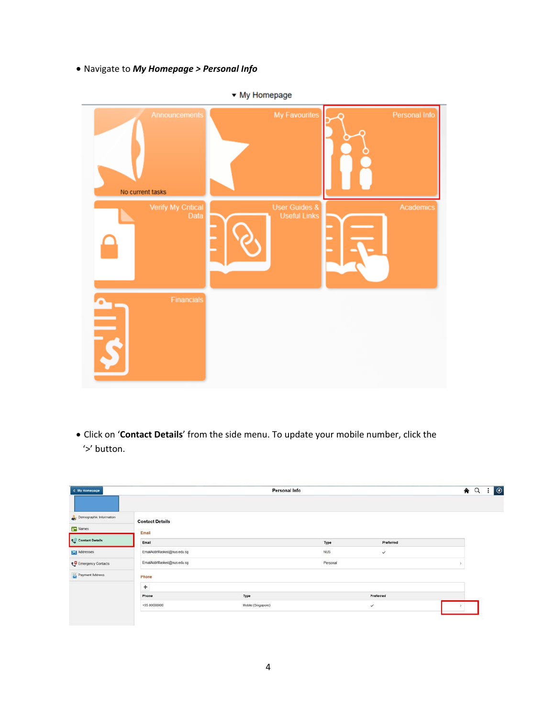Navigate to *My Homepage > Personal Info*



 Click on '**Contact Details**' from the side menu. To update your mobile number, click the '>' button.

| < My Homepage           |                            | <b>Personal Info</b> |            |              | A Q : 0 |
|-------------------------|----------------------------|----------------------|------------|--------------|---------|
| Demographic Information | <b>Contact Details</b>     |                      |            |              |         |
| Names                   | Email                      |                      |            |              |         |
| Contact Details         | Email                      |                      | Type       | Preferred    |         |
| Addresses               | EmailAddrMasked@nus.edu.sg |                      | <b>NUS</b> | $\checkmark$ |         |
| Emergency Contacts      | EmailAddrMasked@nus.edu.sg |                      | Personal   |              |         |
| Payment Address         | Phone                      |                      |            |              |         |
|                         | $\ddot{}$<br>---           |                      |            |              |         |
|                         | Phone                      | Type                 |            | Preferred    |         |
|                         | +65 80000000               | Mobile (Singapore)   |            | $\checkmark$ |         |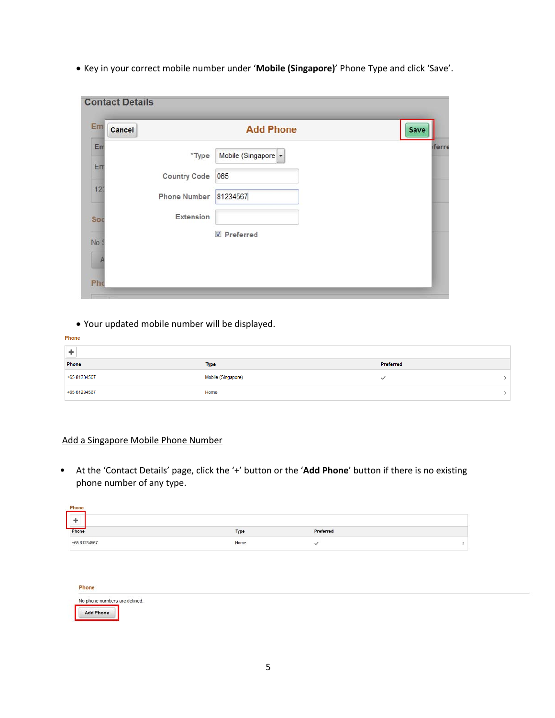Key in your correct mobile number under '**Mobile (Singapore)**' Phone Type and click 'Save'.

| Em<br>Cancel       |                                                     | <b>Add Phone</b>                       | Save |
|--------------------|-----------------------------------------------------|----------------------------------------|------|
| Em<br>Em<br>123    | *Type<br><b>Country Code</b><br><b>Phone Number</b> | Mobile (Singapore -<br>065<br>81234567 |      |
| Soc<br>No S<br>Pho | <b>Extension</b>                                    | <b>V</b> Preferred                     |      |

Your updated mobile number will be displayed.

| Phone        |                    |              |
|--------------|--------------------|--------------|
| $\ddot{}$    |                    |              |
| Phone        | <b>Type</b>        | Preferred    |
| +65 81234567 | Mobile (Singapore) | $\checkmark$ |
| +65 61234567 | Home               |              |

## Add a Singapore Mobile Phone Number

• At the 'Contact Details' page, click the '+' button or the '**Add Phone**' button if there is no existing phone number of any type.

| Phone                                  |      |                        |  |
|----------------------------------------|------|------------------------|--|
| <b><i><u>Property</u></i></b><br>Phone | Type | Preferred              |  |
| +65 61234567                           | Home | $\checkmark$<br>$\sim$ |  |

| Phone                                                                |
|----------------------------------------------------------------------|
| <b>STATISTICS</b><br>the control of<br>No phone numbers are defined. |
| <b>Add Phone</b>                                                     |